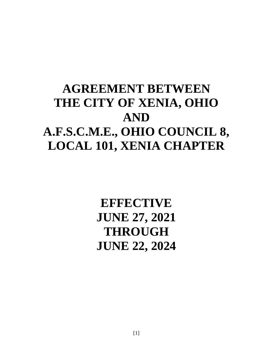# **AGREEMENT BETWEEN THE CITY OF XENIA, OHIO AND A.F.S.C.M.E., OHIO COUNCIL 8, LOCAL 101, XENIA CHAPTER**

**EFFECTIVE JUNE 27, 2021 THROUGH JUNE 22, 2024**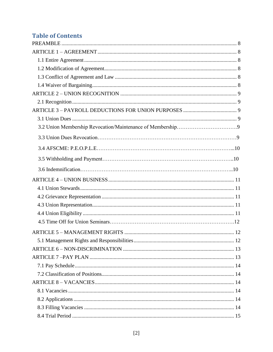# **Table of Contents**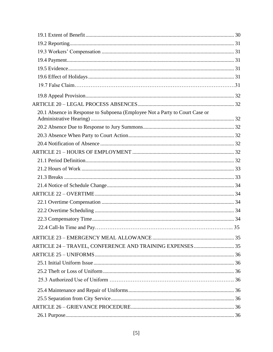| 20.1 Absence in Response to Subpoena (Employee Not a Party to Court Case or |  |
|-----------------------------------------------------------------------------|--|
|                                                                             |  |
|                                                                             |  |
|                                                                             |  |
|                                                                             |  |
|                                                                             |  |
|                                                                             |  |
|                                                                             |  |
|                                                                             |  |
|                                                                             |  |
|                                                                             |  |
|                                                                             |  |
|                                                                             |  |
|                                                                             |  |
|                                                                             |  |
|                                                                             |  |
|                                                                             |  |
|                                                                             |  |
|                                                                             |  |
|                                                                             |  |
|                                                                             |  |
|                                                                             |  |
|                                                                             |  |
|                                                                             |  |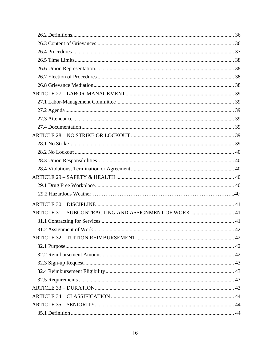| ARTICLE 31 - SUBCONTRACTING AND ASSIGNMENT OF WORK  41 |    |
|--------------------------------------------------------|----|
|                                                        |    |
|                                                        | 42 |
|                                                        |    |
|                                                        |    |
|                                                        |    |
|                                                        |    |
|                                                        |    |
|                                                        |    |
|                                                        |    |
|                                                        |    |
|                                                        |    |
|                                                        |    |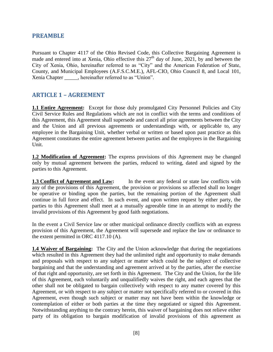### <span id="page-7-0"></span>**PREAMBLE**

Pursuant to Chapter 4117 of the Ohio Revised Code, this Collective Bargaining Agreement is made and entered into at Xenia, Ohio effective this  $27<sup>th</sup>$  day of June, 2021, by and between the City of Xenia, Ohio, hereinafter referred to as "City" and the American Federation of State, County, and Municipal Employees (A.F.S.C.M.E.), AFL-CIO, Ohio Council 8, and Local 101, Xenia Chapter \_\_\_\_\_, hereinafter referred to as "Union".

## <span id="page-7-1"></span>**ARTICLE 1 – AGREEMENT**

<span id="page-7-2"></span>**1.1 Entire Agreement:** Except for those duly promulgated City Personnel Policies and City Civil Service Rules and Regulations which are not in conflict with the terms and conditions of this Agreement, this Agreement shall supersede and cancel all prior agreements between the City and the Union and all previous agreements or understandings with, or applicable to, any employee in the Bargaining Unit, whether verbal or written or based upon past practice as this Agreement constitutes the entire agreement between parties and the employees in the Bargaining Unit.

<span id="page-7-3"></span>**1.2 Modification of Agreement:** The express provisions of this Agreement may be changed only by mutual agreement between the parties, reduced to writing, dated and signed by the parties to this Agreement.

<span id="page-7-4"></span>**1.3 Conflict of Agreement and Law:** In the event any federal or state law conflicts with any of the provisions of this Agreement, the provision or provisions so affected shall no longer be operative or binding upon the parties, but the remaining portion of the Agreement shall continue in full force and effect. In such event, and upon written request by either party, the parties to this Agreement shall meet at a mutually agreeable time in an attempt to modify the invalid provisions of this Agreement by good faith negotiations.

In the event a Civil Service law or other municipal ordinance directly conflicts with an express provision of this Agreement, the Agreement will supersede and replace the law or ordinance to the extent permitted in ORC 4117.10 (A).

<span id="page-7-5"></span>**1.4 Waiver of Bargaining:** The City and the Union acknowledge that during the negotiations which resulted in this Agreement they had the unlimited right and opportunity to make demands and proposals with respect to any subject or matter which could be the subject of collective bargaining and that the understanding and agreement arrived at by the parties, after the exercise of that right and opportunity, are set forth in this Agreement. The City and the Union, for the life of this Agreement, each voluntarily and unqualifiedly waives the right, and each agrees that the other shall not be obligated to bargain collectively with respect to any matter covered by this Agreement, or with respect to any subject or matter not specifically referred to or covered in this Agreement, even though such subject or matter may not have been within the knowledge or contemplation of either or both parties at the time they negotiated or signed this Agreement. Notwithstanding anything to the contrary herein, this waiver of bargaining does not relieve either party of its obligation to bargain modification of invalid provisions of this agreement as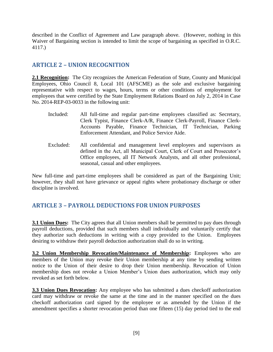described in the Conflict of Agreement and Law paragraph above. (However, nothing in this Waiver of Bargaining section is intended to limit the scope of bargaining as specified in O.R.C. 4117.)

## <span id="page-8-0"></span>**ARTICLE 2 – UNION RECOGNITION**

<span id="page-8-1"></span>**2.1 Recognition:** The City recognizes the American Federation of State, County and Municipal Employees, Ohio Council 8, Local 101 (AFSCME) as the sole and exclusive bargaining representative with respect to wages, hours, terms or other conditions of employment for employees that were certified by the State Employment Relations Board on July 2, 2014 in Case No. 2014-REP-03-0033 in the following unit:

- Included: All full-time and regular part-time employees classified as: Secretary, Clerk Typist, Finance Clerk-A/R, Finance Clerk-Payroll, Finance Clerk-Accounts Payable, Finance Technician, IT Technician, Parking Enforcement Attendant, and Police Service Aide.
- Excluded: All confidential and management level employees and supervisors as defined in the Act, all Municipal Court, Clerk of Court and Prosecutor's Office employees, all IT Network Analysts, and all other professional, seasonal, casual and other employees.

New full-time and part-time employees shall be considered as part of the Bargaining Unit; however, they shall not have grievance or appeal rights where probationary discharge or other discipline is involved.

## <span id="page-8-2"></span>**ARTICLE 3 – PAYROLL DEDUCTIONS FOR UNION PURPOSES**

<span id="page-8-3"></span>**3.1 Union Dues:** The City agrees that all Union members shall be permitted to pay dues through payroll deductions, provided that such members shall individually and voluntarily certify that they authorize such deductions in writing with a copy provided to the Union. Employees desiring to withdraw their payroll deduction authorization shall do so in writing.

**3.2 Union Membership Revocation/Maintenance of Membership:** Employees who are members of the Union may revoke their Union membership at any time by sending written notice to the Union of their desire to drop their Union membership. Revocation of Union membership does not revoke a Union Member's Union dues authorization, which may only revoked as set forth below.

**3.3 Union Dues Revocation:** Any employee who has submitted a dues checkoff authorization card may withdraw or revoke the same at the time and in the manner specified on the dues checkoff authorization card signed by the employee or as amended by the Union if the amendment specifies a shorter revocation period than one fifteen (15) day period tied to the end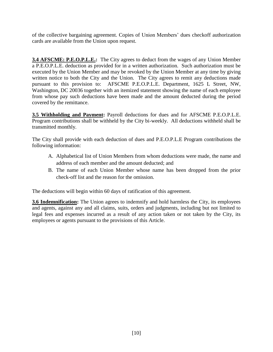of the collective bargaining agreement. Copies of Union Members' dues checkoff authorization cards are available from the Union upon request.

**3.4 AFSCME: P.E.O.P.L.E.:** The City agrees to deduct from the wages of any Union Member a P.E.O.P.L.E. deduction as provided for in a written authorization. Such authorization must be executed by the Union Member and may be revoked by the Union Member at any time by giving written notice to both the City and the Union. The City agrees to remit any deductions made pursuant to this provision to: AFSCME P.E.O.P.L.E. Department, 1625 L Street, NW, Washington, DC 20036 together with an itemized statement showing the name of each employee from whose pay such deductions have been made and the amount deducted during the period covered by the remittance.

**3.5 Withholding and Payment:** Payroll deductions for dues and for AFSCME P.E.O.P.L.E. Program contributions shall be withheld by the City bi-weekly. All deductions withheld shall be transmitted monthly.

The City shall provide with each deduction of dues and P.E.O.P.L.E Program contributions the following information:

- A. Alphabetical list of Union Members from whom deductions were made, the name and address of each member and the amount deducted; and
- B. The name of each Union Member whose name has been dropped from the prior check-off list and the reason for the omission.

The deductions will begin within 60 days of ratification of this agreement.

**3.6 Indemnification:** The Union agrees to indemnify and hold harmless the City, its employees and agents, against any and all claims, suits, orders and judgments, including but not limited to legal fees and expenses incurred as a result of any action taken or not taken by the City, its employees or agents pursuant to the provisions of this Article.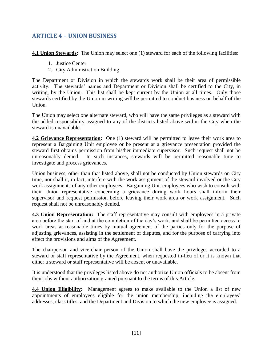# <span id="page-10-0"></span>**ARTICLE 4 – UNION BUSINESS**

<span id="page-10-1"></span>**4.1 Union Stewards:** The Union may select one (1) steward for each of the following facilities:

- 1. Justice Center
- 2. City Administration Building

The Department or Division in which the stewards work shall be their area of permissible activity. The stewards' names and Department or Division shall be certified to the City, in writing, by the Union. This list shall be kept current by the Union at all times. Only those stewards certified by the Union in writing will be permitted to conduct business on behalf of the Union.

The Union may select one alternate steward, who will have the same privileges as a steward with the added responsibility assigned to any of the districts listed above within the City when the steward is unavailable.

<span id="page-10-2"></span>**4.2 Grievance Representation:** One (1) steward will be permitted to leave their work area to represent a Bargaining Unit employee or be present at a grievance presentation provided the steward first obtains permission from his/her immediate supervisor. Such request shall not be unreasonably denied. In such instances, stewards will be permitted reasonable time to investigate and process grievances.

Union business, other than that listed above, shall not be conducted by Union stewards on City time, nor shall it, in fact, interfere with the work assignment of the steward involved or the City work assignments of any other employees. Bargaining Unit employees who wish to consult with their Union representative concerning a grievance during work hours shall inform their supervisor and request permission before leaving their work area or work assignment. Such request shall not be unreasonably denied.

<span id="page-10-3"></span>**4.3 Union Representation:** The staff representative may consult with employees in a private area before the start of and at the completion of the day's work, and shall be permitted access to work areas at reasonable times by mutual agreement of the parties only for the purpose of adjusting grievances, assisting in the settlement of disputes, and for the purpose of carrying into effect the provisions and aims of the Agreement.

The chairperson and vice-chair person of the Union shall have the privileges accorded to a steward or staff representative by the Agreement, when requested in-lieu of or it is known that either a steward or staff representative will be absent or unavailable.

It is understood that the privileges listed above do not authorize Union officials to be absent from their jobs without authorization granted pursuant to the terms of this Article.

<span id="page-10-4"></span>**4.4 Union Eligibility:** Management agrees to make available to the Union a list of new appointments of employees eligible for the union membership, including the employees' addresses, class titles, and the Department and Division to which the new employee is assigned.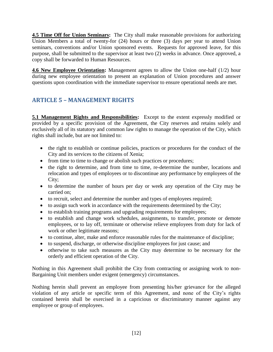**4.5 Time Off for Union Seminars:** The City shall make reasonable provisions for authorizing Union Members a total of twenty-for (24) hours or three (3) days per year to attend Union seminars, conventions and/or Union sponsored events. Requests for approved leave, for this purpose, shall be submitted to the supervisor at least two (2) weeks in advance. Once approved, a copy shall be forwarded to Human Resources.

**4.6 New Employee Orientation:** Management agrees to allow the Union one-half (1/2) hour during new employee orientation to present an explanation of Union procedures and answer questions upon coordination with the immediate supervisor to ensure operational needs are met.

# <span id="page-11-0"></span>**ARTICLE 5 – MANAGEMENT RIGHTS**

<span id="page-11-1"></span>**5.1 Management Rights and Responsibilities:** Except to the extent expressly modified or provided by a specific provision of the Agreement, the City reserves and retains solely and exclusively all of its statutory and common law rights to manage the operation of the City, which rights shall include, but are not limited to:

- the right to establish or continue policies, practices or procedures for the conduct of the City and its services to the citizens of Xenia;
- from time to time to change or abolish such practices or procedures;
- the right to determine, and from time to time, re-determine the number, locations and relocation and types of employees or to discontinue any performance by employees of the City;
- to determine the number of hours per day or week any operation of the City may be carried on;
- to recruit, select and determine the number and types of employees required;
- to assign such work in accordance with the requirements determined by the City;
- to establish training programs and upgrading requirements for employees;
- to establish and change work schedules, assignments, to transfer, promote or demote employees, or to lay off, terminate or otherwise relieve employees from duty for lack of work or other legitimate reasons;
- to continue, alter, make and enforce reasonable rules for the maintenance of discipline;
- to suspend, discharge, or otherwise discipline employees for just cause; and
- otherwise to take such measures as the City may determine to be necessary for the orderly and efficient operation of the City.

Nothing in this Agreement shall prohibit the City from contracting or assigning work to non-Bargaining Unit members under exigent (emergency) circumstances.

Nothing herein shall prevent an employee from presenting his/her grievance for the alleged violation of any article or specific term of this Agreement, and none of the City's rights contained herein shall be exercised in a capricious or discriminatory manner against any employee or group of employees.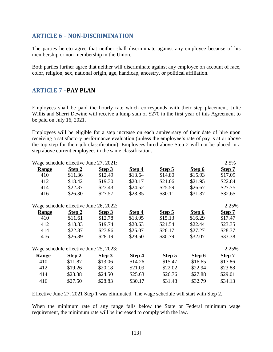### <span id="page-12-0"></span>**ARTICLE 6 – NON-DISCRIMINATION**

The parties hereto agree that neither shall discriminate against any employee because of his membership or non-membership in the Union.

Both parties further agree that neither will discriminate against any employee on account of race, color, religion, sex, national origin, age, handicap, ancestry, or political affiliation.

#### <span id="page-12-1"></span>**ARTICLE 7 –PAY PLAN**

Employees shall be paid the hourly rate which corresponds with their step placement. Julie Willis and Sherri Dewine will receive a lump sum of \$270 in the first year of this Agreement to be paid on July 16, 2021.

Employees will be eligible for a step increase on each anniversary of their date of hire upon receiving a satisfactory performance evaluation (unless the employee's rate of pay is at or above the top step for their job classification). Employees hired above Step 2 will not be placed in a step above current employees in the same classification.

|              | Wage schedule effective June 27, 2021: |         |         |         |         | 2.5%    |
|--------------|----------------------------------------|---------|---------|---------|---------|---------|
| <b>Range</b> | Step 2                                 | Step 3  | Step 4  | Step 5  | Step 6  | Step 7  |
| 410          | \$11.36                                | \$12.49 | \$13.64 | \$14.80 | \$15.93 | \$17.09 |
| 412          | \$18.42                                | \$19.30 | \$20.17 | \$21.06 | \$21.95 | \$22.84 |
| 414          | \$22.37                                | \$23.43 | \$24.52 | \$25.59 | \$26.67 | \$27.75 |
| 416          | \$26.30                                | \$27.57 | \$28.85 | \$30.11 | \$31.37 | \$32.65 |
|              | Wage schedule effective June 26, 2022: |         |         |         |         | 2.25%   |
| Range        | Step 2                                 | Step 3  | Step 4  | Step 5  | Step 6  | Step 7  |
| 410          | \$11.61                                | \$12.78 | \$13.95 | \$15.13 | \$16.29 | \$17.47 |
| 412          | \$18.83                                | \$19.74 | \$20.63 | \$21.54 | \$22.44 | \$23.35 |
| 414          | \$22.87                                | \$23.96 | \$25.07 | \$26.17 | \$27.27 | \$28.37 |
| 416          | \$26.89                                | \$28.19 | \$29.50 | \$30.79 | \$32.07 | \$33.38 |
|              | Wage schedule effective June 25, 2023: |         |         |         |         | 2.25%   |
| <b>Range</b> | Step 2                                 | Step 3  | Step 4  | Step 5  | Step 6  | Step 7  |
| 410          | \$11.87                                | \$13.06 | \$14.26 | \$15.47 | \$16.65 | \$17.86 |
| 412          | \$19.26                                | \$20.18 | \$21.09 | \$22.02 | \$22.94 | \$23.88 |
| 414          | \$23.38                                | \$24.50 | \$25.63 | \$26.76 | \$27.88 | \$29.01 |
| 416          | \$27.50                                | \$28.83 | \$30.17 | \$31.48 | \$32.79 | \$34.13 |

Effective June 27, 2021 Step 1 was eliminated. The wage schedule will start with Step 2.

When the minimum rate of any range falls below the State or Federal minimum wage requirement, the minimum rate will be increased to comply with the law.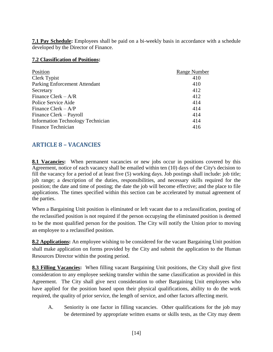<span id="page-13-0"></span>**7.1 Pay Schedule:** Employees shall be paid on a bi-weekly basis in accordance with a schedule developed by the Director of Finance.

#### <span id="page-13-1"></span>**7.2 Classification of Positions:**

| Position                                 | Range Number |
|------------------------------------------|--------------|
| Clerk Typist                             | 410          |
| Parking Enforcement Attendant            | 410          |
| Secretary                                | 412          |
| Finance Clerk $- A/R$                    | 412          |
| Police Service Aide                      | 414          |
| Finance Clerk $-A/P$                     | 414          |
| Finance Clerk – Payroll                  | 414          |
| <b>Information Technology Technician</b> | 414          |
| Finance Technician                       | 416          |

## <span id="page-13-2"></span>**ARTICLE 8 – VACANCIES**

<span id="page-13-3"></span>8.1 Vacancies: When permanent vacancies or new jobs occur in positions covered by this Agreement, notice of each vacancy shall be emailed within ten (10) days of the City's decision to fill the vacancy for a period of at least five (5) working days. Job postings shall include: job title; job range; a description of the duties, responsibilities, and necessary skills required for the position; the date and time of posting; the date the job will become effective; and the place to file applications. The times specified within this section can be accelerated by mutual agreement of the parties.

When a Bargaining Unit position is eliminated or left vacant due to a reclassification, posting of the reclassified position is not required if the person occupying the eliminated position is deemed to be the most qualified person for the position. The City will notify the Union prior to moving an employee to a reclassified position.

<span id="page-13-4"></span>**8.2 Applications:** An employee wishing to be considered for the vacant Bargaining Unit position shall make application on forms provided by the City and submit the application to the Human Resources Director within the posting period.

<span id="page-13-5"></span>**8.3 Filling Vacancies:** When filling vacant Bargaining Unit positions, the City shall give first consideration to any employee seeking transfer within the same classification as provided in this Agreement. The City shall give next consideration to other Bargaining Unit employees who have applied for the position based upon their physical qualifications, ability to do the work required, the quality of prior service, the length of service, and other factors affecting merit.

A. Seniority is one factor in filling vacancies. Other qualifications for the job may be determined by appropriate written exams or skills tests, as the City may deem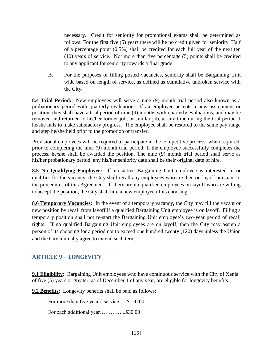necessary. Credit for seniority for promotional exams shall be determined as follows: For the first five (5) years there will be no credit given for seniority. Half of a percentage point (0.5%) shall be credited for each full year of the next ten (10) years of service. Not more than five percentage (5) points shall be credited to any applicant for seniority towards a final grade.

B. For the purposes of filling posted vacancies, seniority shall be Bargaining Unit wide based on length of service, as defined as cumulative unbroken service with the City.

<span id="page-14-0"></span>**8.4 Trial Period:** New employees will serve a nine (9) month trial period also known as a probationary period with quarterly evaluations. If an employee accepts a new assignment or position, they shall have a trial period of nine (9) months with quarterly evaluations, and may be removed and returned to his/her former job, or similar job, at any time during the trial period if he/she fails to make satisfactory progress. The employee shall be restored to the same pay range and step he/she held prior to the promotion or transfer.

Provisional employees will be required to participate in the competitive process, when required, prior to completing the nine (9) month trial period. If the employee successfully completes the process, he/she shall be awarded the position. The nine (9) month trial period shall serve as his/her probationary period, any his/her seniority date shall be their original date of hire.

<span id="page-14-1"></span>**8.5 No Qualifying Employee:** If no active Bargaining Unit employee is interested in or qualifies for the vacancy, the City shall recall any employees who are then on layoff pursuant to the procedures of this Agreement. If there are no qualified employees on layoff who are willing to accept the position, the City shall hire a new employee of its choosing.

<span id="page-14-2"></span>**8.6 Temporary Vacancies:** In the event of a temporary vacancy, the City may fill the vacant or new position by recall from layoff if a qualified Bargaining Unit employee is on layoff. Filling a temporary position shall not re-start the Bargaining Unit employee's two-year period of recall rights. If no qualified Bargaining Unit employees are on layoff, then the City may assign a person of its choosing for a period not to exceed one hundred twenty (120) days unless the Union and the City mutually agree to extend such term.

## <span id="page-14-3"></span>**ARTICLE 9 – LONGEVITY**

<span id="page-14-4"></span>**9.1 Eligibility:** Bargaining Unit employees who have continuous service with the City of Xenia of five (5) years or greater, as of December 1 of any year, are eligible for longevity benefits.

<span id="page-14-5"></span>**9.2 Benefits:** Longevity benefits shall be paid as follows:

For more than five years' service.....\$150.00

For each additional year................\$30.00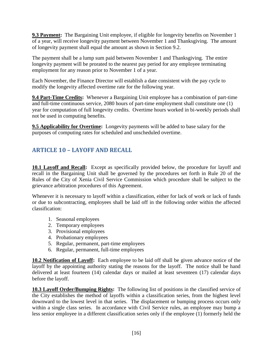<span id="page-15-0"></span>**9.3 Payment:** The Bargaining Unit employee, if eligible for longevity benefits on November 1 of a year, will receive longevity payment between November 1 and Thanksgiving. The amount of longevity payment shall equal the amount as shown in Section 9.2.

The payment shall be a lump sum paid between November 1 and Thanksgiving. The entire longevity payment will be prorated to the nearest pay period for any employee terminating employment for any reason prior to November 1 of a year.

Each November, the Finance Director will establish a date consistent with the pay cycle to modify the longevity affected overtime rate for the following year.

<span id="page-15-1"></span>**9.4 Part-Time Credits:** Whenever a Bargaining Unit employee has a combination of part-time and full-time continuous service, 2080 hours of part-time employment shall constitute one (1) year for computation of full longevity credits. Overtime hours worked in bi-weekly periods shall not be used in computing benefits.

<span id="page-15-2"></span>**9.5 Applicability for Overtime:** Longevity payments will be added to base salary for the purposes of computing rates for scheduled and unscheduled overtime.

# <span id="page-15-3"></span>**ARTICLE 10 – LAYOFF AND RECALL**

<span id="page-15-4"></span>**10.1 Layoff and Recall:** Except as specifically provided below, the procedure for layoff and recall in the Bargaining Unit shall be governed by the procedures set forth in Rule 20 of the Rules of the City of Xenia Civil Service Commission which procedure shall be subject to the grievance arbitration procedures of this Agreement.

Whenever it is necessary to layoff within a classification, either for lack of work or lack of funds or due to subcontracting, employees shall be laid off in the following order within the affected classification:

- 1. Seasonal employees
- 2. Temporary employees
- 3. Provisional employees
- 4. Probationary employees
- 5. Regular, permanent, part-time employees
- 6. Regular, permanent, full-time employees

<span id="page-15-5"></span>**10.2 Notification of Layoff:** Each employee to be laid off shall be given advance notice of the layoff by the appointing authority stating the reasons for the layoff. The notice shall be hand delivered at least fourteen (14) calendar days or mailed at least seventeen (17) calendar days before the layoff.

<span id="page-15-6"></span>**10.3 Layoff Order/Bumping Rights:** The following list of positions in the classified service of the City establishes the method of layoffs within a classification series, from the highest level downward to the lowest level in that series. The displacement or bumping process occurs only within a single class series. In accordance with Civil Service rules, an employee may bump a less senior employee in a different classification series only if the employee (1) formerly held the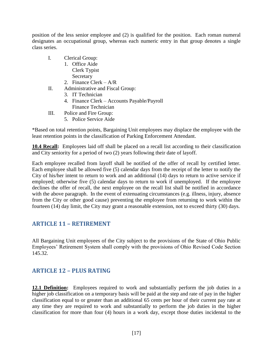position of the less senior employee and (2) is qualified for the position. Each roman numeral designates an occupational group, whereas each numeric entry in that group denotes a single class series.

- I. Clerical Group:
	- 1. Office Aide Clerk Typist **Secretary**
	- 2. Finance Clerk A/R
- II. Administrative and Fiscal Group:
	- 3. IT Technician
	- 4. Finance Clerk Accounts Payable/Payroll Finance Technician
- III. Police and Fire Group:
	- 5. Police Service Aide

\*Based on total retention points, Bargaining Unit employees may displace the employee with the least retention points in the classification of Parking Enforcement Attendant.

<span id="page-16-0"></span>**10.4 Recall:** Employees laid off shall be placed on a recall list according to their classification and City seniority for a period of two (2) years following their date of layoff.

Each employee recalled from layoff shall be notified of the offer of recall by certified letter. Each employee shall be allowed five (5) calendar days from the receipt of the letter to notify the City of his/her intent to return to work and an additional (14) days to return to active service if employed; otherwise five (5) calendar days to return to work if unemployed. If the employee declines the offer of recall, the next employee on the recall list shall be notified in accordance with the above paragraph. In the event of extenuating circumstances (e.g. illness, injury, absence from the City or other good cause) preventing the employee from returning to work within the fourteen (14) day limit, the City may grant a reasonable extension, not to exceed thirty (30) days.

### <span id="page-16-1"></span>**ARTICLE 11 – RETIREMENT**

All Bargaining Unit employees of the City subject to the provisions of the State of Ohio Public Employees' Retirement System shall comply with the provisions of Ohio Revised Code Section 145.32.

## <span id="page-16-2"></span>**ARTICLE 12 – PLUS RATING**

<span id="page-16-3"></span>**12.1 Definition:** Employees required to work and substantially perform the job duties in a higher job classification on a temporary basis will be paid at the step and rate of pay in the higher classification equal to or greater than an additional 65 cents per hour of their current pay rate at any time they are required to work and substantially to perform the job duties in the higher classification for more than four (4) hours in a work day, except those duties incidental to the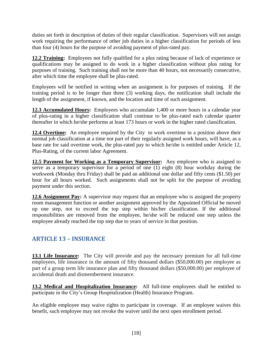duties set forth in description of duties of their regular classification. Supervisors will not assign work requiring the performance of other job duties in a higher classification for periods of less than four (4) hours for the purpose of avoiding payment of plus-rated pay.

<span id="page-17-0"></span>**12.2 Training:** Employees not fully qualified for a plus rating because of lack of experience or qualifications may be assigned to do work in a higher classification without plus rating for purposes of training. Such training shall not be more than 40 hours, not necessarily consecutive, after which time the employee shall be plus-rated.

Employees will be notified in writing when an assignment is for purposes of training. If the training period is to be longer than three (3) working days, the notification shall include the length of the assignment, if known, and the location and time of such assignment.

<span id="page-17-1"></span>**12.3 Accumulated Hours:** Employees who accumulate 1,400 or more hours in a calendar year of plus-rating in a higher classification shall continue to be plus-rated each calendar quarter thereafter in which he/she performs at least 173 hours or work in the higher rated classification.

<span id="page-17-2"></span>**12.4 Overtime:** An employee required by the City to work overtime in a position above their normal job classification at a time not part of their regularly assigned work hours, will have, as a base rate for said overtime work, the plus-rated pay to which he/she is entitled under Article 12, Plus-Rating, of the current labor Agreement.

<span id="page-17-3"></span>**12.5 Payment for Working as a Temporary Supervisor:** Any employee who is assigned to serve as a temporary supervisor for a period of one  $(1)$  eight  $(8)$  hour workday during the workweek (Monday thru Friday) shall be paid an additional one dollar and fifty cents (\$1.50) per hour for all hours worked. Such assignments shall not be split for the purpose of avoiding payment under this section.

**12.6 Assignment Pay:** A supervisor may request that an employee who is assigned the property room management function or another assignment approved by the Appointed Official be moved up one step, not to exceed the top step within his/her classification. If the additional responsibilities are removed from the employee, he/she will be reduced one step unless the employee already reached the top step due to years of service in that position.

# <span id="page-17-4"></span>**ARTICLE 13 – INSURANCE**

<span id="page-17-5"></span>**13.1 Life Insurance:** The City will provide and pay the necessary premium for all full-time employees, life insurance in the amount of fifty thousand dollars (\$50,000.00) per employee as part of a group term life insurance plan and fifty thousand dollars (\$50,000.00) per employee of accidental death and dismemberment insurance.

<span id="page-17-6"></span>**13.2 Medical and Hospitalization Insurance:** All full-time employees shall be entitled to participate in the City's Group Hospitalization (Health) Insurance Program.

An eligible employee may waive rights to participate in coverage. If an employee waives this benefit, such employee may not revoke the waiver until the next open enrollment period.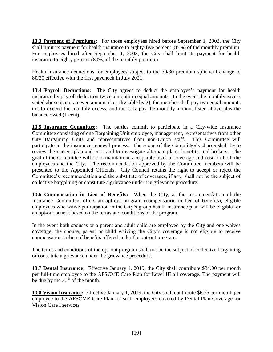<span id="page-18-0"></span>**13.3 Payment of Premiums:** For those employees hired before September 1, 2003, the City shall limit its payment for health insurance to eighty-five percent (85%) of the monthly premium. For employees hired after September 1, 2003, the City shall limit its payment for health insurance to eighty percent (80%) of the monthly premium.

Health insurance deductions for employees subject to the 70/30 premium split will change to 80/20 effective with the first paycheck in July 2021.

<span id="page-18-1"></span>**13.4 Payroll Deductions:** The City agrees to deduct the employee's payment for health insurance by payroll deduction twice a month in equal amounts. In the event the monthly excess stated above is not an even amount (i.e., divisible by 2), the member shall pay two equal amounts not to exceed the monthly excess, and the City pay the monthly amount listed above plus the balance owed (1 cent).

<span id="page-18-2"></span>**13.5 Insurance Committee:** The parties commit to participate in a City-wide Insurance Committee consisting of one Bargaining Unit employee, management, representatives from other City Bargaining Units and representatives from non-Union staff. This Committee will participate in the insurance renewal process. The scope of the Committee's charge shall be to review the current plan and cost, and to investigate alternate plans, benefits, and brokers. The goal of the Committee will be to maintain an acceptable level of coverage and cost for both the employees and the City. The recommendation approved by the Committee members will be presented to the Appointed Officials. City Council retains the right to accept or reject the Committee's recommendation and the substitute of coverages, if any, shall not be the subject of collective bargaining or constitute a grievance under the grievance procedure.

<span id="page-18-3"></span>**13.6 Compensation in Lieu of Benefits:** When the City, at the recommendation of the Insurance Committee, offers an opt-out program (compensation in lieu of benefits), eligible employees who waive participation in the City's group health insurance plan will be eligible for an opt-out benefit based on the terms and conditions of the program.

In the event both spouses or a parent and adult child are employed by the City and one waives coverage, the spouse, parent or child waiving the City's coverage is not eligible to receive compensation in-lieu of benefits offered under the opt-out program.

The terms and conditions of the opt-out program shall not be the subject of collective bargaining or constitute a grievance under the grievance procedure.

<span id="page-18-4"></span>**13.7 Dental Insurance:** Effective January 1, 2019, the City shall contribute \$34.00 per month per full-time employee to the AFSCME Care Plan for Level III all coverage. The payment will be due by the  $20<sup>th</sup>$  of the month.

<span id="page-18-5"></span>**13.8 Vision Insurance:** Effective January 1, 2019, the City shall contribute \$6.75 per month per employee to the AFSCME Care Plan for such employees covered by Dental Plan Coverage for Vision Care I services.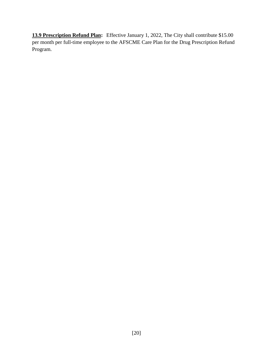**13.9 Prescription Refund Plan:** Effective January 1, 2022, The City shall contribute \$15.00 per month per full-time employee to the AFSCME Care Plan for the Drug Prescription Refund Program.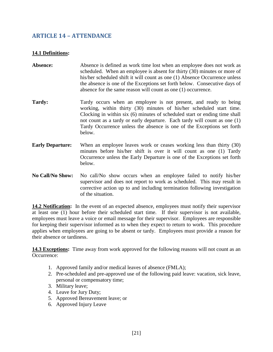## <span id="page-20-0"></span>**ARTICLE 14 – ATTENDANCE**

#### <span id="page-20-1"></span>**14.1 Definitions:**

- Absence: Absence is defined as work time lost when an employee does not work as scheduled. When an employee is absent for thirty (30) minutes or more of his/her scheduled shift it will count as one (1) Absence Occurrence unless the absence is one of the Exceptions set forth below. Consecutive days of absence for the same reason will count as one (1) occurrence.
- **Tardy:** Tardy occurs when an employee is not present, and ready to being working, within thirty (30) minutes of his/her scheduled start time. Clocking in within six (6) minutes of scheduled start or ending time shall not count as a tardy or early departure. Each tardy will count as one (1) Tardy Occurrence unless the absence is one of the Exceptions set forth below.
- **Early Departure:** When an employee leaves work or ceases working less than thirty (30) minutes before his/her shift is over it will count as one (1) Tardy Occurrence unless the Early Departure is one of the Exceptions set forth below.
- **No Call/No Show:** No call/No show occurs when an employee failed to notify his/her supervisor and does not report to work as scheduled. This may result in corrective action up to and including termination following investigation of the situation.

<span id="page-20-2"></span>**14.2 Notification:** In the event of an expected absence, employees must notify their supervisor at least one (1) hour before their scheduled start time. If their supervisor is not available, employees must leave a voice or email message for their supervisor. Employees are responsible for keeping their supervisor informed as to when they expect to return to work. This procedure applies when employees are going to be absent or tardy. Employees must provide a reason for their absence or tardiness.

<span id="page-20-3"></span>**14.3 Exceptions:** Time away from work approved for the following reasons will not count as an Occurrence:

- 1. Approved family and/or medical leaves of absence (FMLA);
- 2. Pre-scheduled and pre-approved use of the following paid leave: vacation, sick leave, personal or compensatory time;
- 3. Military leave;
- 4. Leave for Jury Duty;
- 5. Approved Bereavement leave; or
- 6. Approved Injury Leave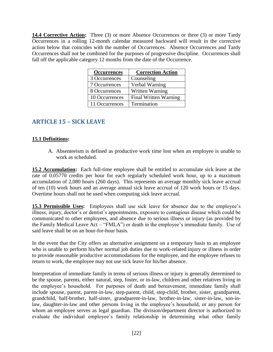<span id="page-21-0"></span>**14.4 Corrective Action:** Three (3) or more Absence Occurrences or three (3) or more Tardy Occurrences in a rolling 12-month calendar measured backward will result in the corrective action below that coincides with the number of Occurrences. Absence Occurrences and Tardy Occurrences shall not be combined for the purposes of progressive discipline. Occurrences shall fall off the applicable category 12 months from the date of the Occurrence.

| <b>Occurrences</b> | <b>Correction Action</b> |
|--------------------|--------------------------|
| 3 Occurrences      | Counseling               |
| 7 Occurrences      | Verbal Warning           |
| 8 Occurrences      | Written Warning          |
| 10 Occurrences     | Final Written Warning    |
| 11 Occurrences     | Termination              |

# <span id="page-21-1"></span>**ARTICLE 15 – SICK LEAVE**

#### <span id="page-21-2"></span>**15.1 Definitions:**

A. Absenteeism is defined as productive work time lost when an employee is unable to work as scheduled.

<span id="page-21-3"></span>**15.2 Accumulation:** Each full-time employee shall be entitled to accumulate sick leave at the rate of 0.05770 credits per hour for each regularly scheduled work hour, up to a maximum accumulation of 2,080 hours (260 days). This represents an average monthly sick leave accrual of ten (10) work hours and an average annual sick leave accrual of 120 work hours or 15 days. Overtime hours shall not be used when computing sick leave accrual.

<span id="page-21-4"></span>**15.3 Permissible Uses:** Employees shall use sick leave for absence due to the employee's illness, injury, doctor's or dentist's appointments, exposure to contagious disease which could be communicated to other employees, and absence due to serious illness or injury (as provided by the Family Medical Leave Act – "FMLA") or death in the employee's immediate family. Use of said leave shall be on an hour-for-hour basis.

In the event that the City offers an alternative assignment on a temporary basis to an employee who is unable to perform his/her normal job duties due to work-related injury or illness in order to provide reasonable productive accommodations for the employee, and the employee refuses to return to work, the employee may not use sick leave for his/her absence.

Interpretation of immediate family in terms of serious illness or injury is generally determined to be the spouse, parents, either natural, step, foster, or in-law, children and other relatives living in the employee's household. For purposes of death and bereavement, immediate family shall include spouse, parent, parent-in-law, step-parent, child, step-child, brother, sister, grandparent, grandchild, half-brother, half-sister, grandparent-in-law, brother-in-law, sister-in-law, son-inlaw, daughter-in-law and other persons living in the employee's household, or any person for whom an employee serves as legal guardian. The division/department director is authorized to evaluate the individual employee's family relationship in determining what other family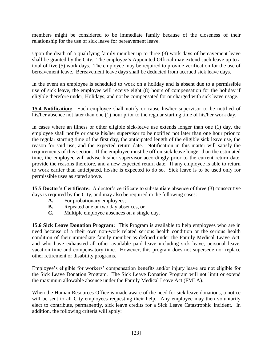members might be considered to be immediate family because of the closeness of their relationship for the use of sick leave for bereavement leave.

Upon the death of a qualifying family member up to three (3) work days of bereavement leave shall be granted by the City. The employee's Appointed Official may extend such leave up to a total of five (5) work days. The employee may be required to provide verification for the use of bereavement leave. Bereavement leave days shall be deducted from accrued sick leave days.

In the event an employee is scheduled to work on a holiday and is absent due to a permissible use of sick leave, the employee will receive eight (8) hours of compensation for the holiday if eligible therefore under, Holidays, and not be compensated for or charged with sick leave usage.

<span id="page-22-0"></span>**15.4 Notification:** Each employee shall notify or cause his/her supervisor to be notified of his/her absence not later than one (1) hour prior to the regular starting time of his/her work day.

In cases where an illness or other eligible sick-leave use extends longer than one (1) day, the employee shall notify or cause his/her supervisor to be notified not later than one hour prior to the regular starting time of the first day, the anticipated length of the eligible sick leave use, the reason for said use, and the expected return date. Notification in this matter will satisfy the requirements of this section. If the employee must be off on sick leave longer than the estimated time, the employee will advise his/her supervisor accordingly prior to the current return date, provide the reasons therefore, and a new expected return date. If any employee is able to return to work earlier than anticipated, he/she is expected to do so. Sick leave is to be used only for permissible uses as stated above.

<span id="page-22-1"></span>**15.5 Doctor's Certificate:** A doctor's certificate to substantiate absence of three (3) consecutive days is required by the City, and may also be required in the following cases:

- **A.** For probationary employees;
- **B.** Repeated one or two day absences, or
- **C.** Multiple employee absences on a single day.

<span id="page-22-2"></span>**15.6 Sick Leave Donation Program:** This Program is available to help employees who are in need because of a their own non-work related serious health condition or the serious health condition of their immediate family member as defined under the Family Medical Leave Act, and who have exhausted all other available paid leave including sick leave, personal leave, vacation time and compensatory time. However, this program does not supersede nor replace other retirement or disability programs.

Employee's eligible for workers' compensation benefits and/or injury leave are not eligible for the Sick Leave Donation Program. The Sick Leave Donation Program will not limit or extend the maximum allowable absence under the Family Medical Leave Act (FMLA).

When the Human Resources Office is made aware of the need for sick leave donations, a notice will be sent to all City employees requesting their help. Any employee may then voluntarily elect to contribute, permanently, sick leave credits for a Sick Leave Catastrophic Incident. In addition, the following criteria will apply: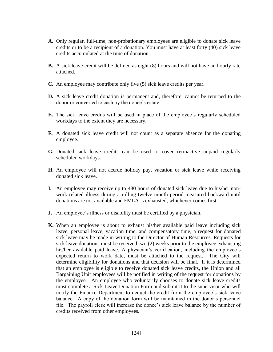- **A.** Only regular, full-time, non-probationary employees are eligible to donate sick leave credits or to be a recipient of a donation. You must have at least forty (40) sick leave credits accumulated at the time of donation.
- **B.** A sick leave credit will be defined as eight (8) hours and will not have an hourly rate attached.
- **C.** An employee may contribute only five (5) sick leave credits per year.
- **D.** A sick leave credit donation is permanent and, therefore, cannot be returned to the donor or converted to cash by the donee's estate.
- **E.** The sick leave credits will be used in place of the employee's regularly scheduled workdays to the extent they are necessary.
- **F.** A donated sick leave credit will not count as a separate absence for the donating employee.
- **G.** Donated sick leave credits can be used to cover retroactive unpaid regularly scheduled workdays.
- **H.** An employee will not accrue holiday pay, vacation or sick leave while receiving donated sick leave.
- **I.** An employee may receive up to 480 hours of donated sick leave due to his/her nonwork related illness during a rolling twelve month period measured backward until donations are not available and FMLA is exhausted, whichever comes first.
- **J.** An employee's illness or disability must be certified by a physician.
- **K.** When an employee is about to exhaust his/her available paid leave including sick leave, personal leave, vacation time, and compensatory time, a request for donated sick leave may be made in writing to the Director of Human Resources. Requests for sick leave donations must be received two (2) weeks prior to the employee exhausting his/her available paid leave. A physician's certification, including the employee's expected return to work date, must be attached to the request. The City will determine eligibility for donations and that decision will be final. If it is determined that an employee is eligible to receive donated sick leave credits, the Union and all Bargaining Unit employees will be notified in writing of the request for donations by the employee. An employee who voluntarily chooses to donate sick leave credits must complete a Sick Leave Donation Form and submit it to the supervisor who will notify the Finance Department to deduct the credit from the employee's sick leave balance. A copy of the donation form will be maintained in the donor's personnel file. The payroll clerk will increase the donee's sick leave balance by the number of credits received from other employees.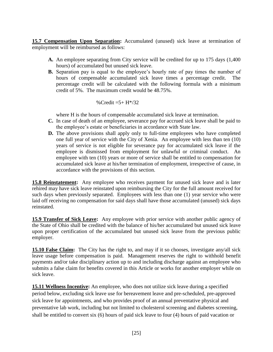<span id="page-24-0"></span>**15.7 Compensation Upon Separation:** Accumulated (unused) sick leave at termination of employment will be reimbursed as follows:

- **A.** An employee separating from City service will be credited for up to 175 days (1,400 hours) of accumulated but unused sick leave.
- **B.** Separation pay is equal to the employee's hourly rate of pay times the number of hours of compensable accumulated sick leave times a percentage credit. The percentage credit will be calculated with the following formula with a minimum credit of 5%. The maximum credit would be 48.75%.

#### % Credit  $= 5+ H^*/32$

where H is the hours of compensable accumulated sick leave at termination.

- **C.** In case of death of an employee, severance pay for accrued sick leave shall be paid to the employee's estate or beneficiaries in accordance with State law.
- **D.** The above provisions shall apply only to full-time employees who have completed one full year of service with the City of Xenia. An employee with less than ten (10) years of service is not eligible for severance pay for accumulated sick leave if the employee is dismissed from employment for unlawful or criminal conduct. An employee with ten (10) years or more of service shall be entitled to compensation for accumulated sick leave at his/her termination of employment, irrespective of cause, in accordance with the provisions of this section.

<span id="page-24-1"></span>**15.8 Reinstatement:** Any employee who receives payment for unused sick leave and is later rehired may have sick leave reinstated upon reimbursing the City for the full amount received for such days when previously separated. Employees with less than one (1) year service who were laid off receiving no compensation for said days shall have those accumulated (unused) sick days reinstated.

<span id="page-24-2"></span>**15.9 Transfer of Sick Leave:** Any employee with prior service with another public agency of the State of Ohio shall be credited with the balance of his/her accumulated but unused sick leave upon proper certification of the accumulated but unused sick leave from the previous public employer.

**15.10 False Claim:** The City has the right to, and may if it so chooses, investigate any/all sick leave usage before compensation is paid. Management reserves the right to withhold benefit payments and/or take disciplinary action up to and including discharge against an employee who submits a false claim for benefits covered in this Article or works for another employer while on sick leave.

**15.11 Wellness Incentive:** An employee, who does not utilize sick leave during a specified period below, excluding sick leave use for bereavement leave and pre-scheduled, pre-approved sick leave for appointments, and who provides proof of an annual preventative physical and preventative lab work, including but not limited to cholesterol screening and diabetes screening, shall be entitled to convert six (6) hours of paid sick leave to four (4) hours of paid vacation or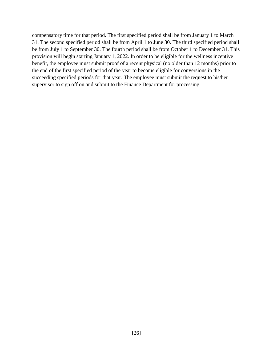compensatory time for that period. The first specified period shall be from January 1 to March 31. The second specified period shall be from April 1 to June 30. The third specified period shall be from July 1 to September 30. The fourth period shall be from October 1 to December 31. This provision will begin starting January 1, 2022. In order to be eligible for the wellness incentive benefit, the employee must submit proof of a recent physical (no older than 12 months) prior to the end of the first specified period of the year to become eligible for conversions in the succeeding specified periods for that year. The employee must submit the request to his/her supervisor to sign off on and submit to the Finance Department for processing.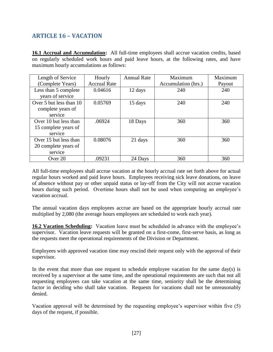# <span id="page-26-0"></span>**ARTICLE 16 – VACATION**

<span id="page-26-1"></span>**16.1 Accrual and Accumulation:** All full-time employees shall accrue vacation credits, based on regularly scheduled work hours and paid leave hours, at the following rates, and have maximum hourly accumulations as follows:

| Length of Service       | Hourly              | <b>Annual Rate</b> | Maximum             | Maximum |
|-------------------------|---------------------|--------------------|---------------------|---------|
| (Complete Years)        | <b>Accrual Rate</b> |                    | Accumulation (hrs.) | Payout  |
| Less than 5 complete    | 0.04616             | 12 days            | 240                 | 240     |
| years of service        |                     |                    |                     |         |
| Over 5 but less than 10 | 0.05769             | 15 days            | 240                 | 240     |
| complete years of       |                     |                    |                     |         |
| service                 |                     |                    |                     |         |
| Over 10 but less than   | .06924              | 18 Days            | 360                 | 360     |
| 15 complete years of    |                     |                    |                     |         |
| service                 |                     |                    |                     |         |
| Over 15 but less than   | 0.08076             | 21 days            | 360                 | 360     |
| 20 complete years of    |                     |                    |                     |         |
| service                 |                     |                    |                     |         |
| Over 20                 | .09231              | 24 Days            | 360                 | 360     |

All full-time employees shall accrue vacation at the hourly accrual rate set forth above for actual regular hours worked and paid leave hours. Employees receiving sick leave donations, on leave of absence without pay or other unpaid status or lay-off from the City will not accrue vacation hours during such period. Overtime hours shall not be used when computing an employee's vacation accrual.

The annual vacation days employees accrue are based on the appropriate hourly accrual rate multiplied by 2,080 (the average hours employees are scheduled to work each year).

<span id="page-26-2"></span>**16.2 Vacation Scheduling:** Vacation leave must be scheduled in advance with the employee's supervisor. Vacation leave requests will be granted on a first-come, first-serve basis, as long as the requests meet the operational requirements of the Division or Department.

Employees with approved vacation time may rescind their request only with the approval of their supervisor.

In the event that more than one request to schedule employee vacation for the same day(s) is received by a supervisor at the same time, and the operational requirements are such that not all requesting employees can take vacation at the same time, seniority shall be the determining factor in deciding who shall take vacation. Requests for vacations shall not be unreasonably denied.

Vacation approval will be determined by the requesting employee's supervisor within five (5) days of the request, if possible.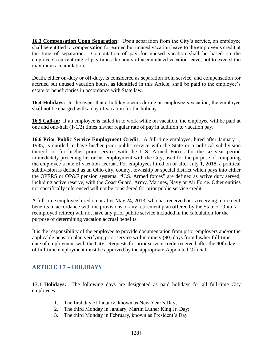<span id="page-27-0"></span>**16.3 Compensation Upon Separation:** Upon separation from the City's service, an employee shall be entitled to compensation for earned but unused vacation leave to the employee's credit at the time of separation. Computation of pay for unused vacation shall be based on the employee's current rate of pay times the hours of accumulated vacation leave, not to exceed the maximum accumulation.

Death, either on-duty or off-duty, is considered as separation from service, and compensation for accrued but unused vacation hours, as identified in this Article, shall be paid to the employee's estate or beneficiaries in accordance with State law.

<span id="page-27-1"></span>**16.4 Holidays:** In the event that a holiday occurs during an employee's vacation, the employee shall not be charged with a day of vacation for the holiday.

<span id="page-27-2"></span>**16.5 Call-in:** If an employee is called in to work while on vacation, the employee will be paid at one and one-half (1-1/2) times his/her regular rate of pay in addition to vacation pay.

<span id="page-27-3"></span>**16.6 Prior Public Service Employment Credit:** A full-time employee, hired after January 1, 1985, is entitled to have his/her prior public service with the State or a political subdivision thereof, or for his/her prior service with the U.S. Armed Forces for the six-year period immediately preceding his or her employment with the City, used for the purpose of computing the employee's rate of vacation accrual. For employees hired on or after July 1, 2018, a political subdivision is defined as an Ohio city, county, township or special district which pays into either the OPERS or OP&F pension systems. "U.S. Armed forces" are defined as active duty served, including active reserve, with the Coast Guard, Army, Marines, Navy or Air Force. Other entities not specifically referenced will not be considered for prior public service credit.

A full-time employee hired on or after May 24, 2013, who has received or is receiving retirement benefits in accordance with the provisions of any retirement plan offered by the State of Ohio (a reemployed retiree) will not have any prior public service included in the calculation for the purpose of determining vacation accrual benefits.

It is the responsibility of the employee to provide documentation from prior employers and/or the applicable pension plan verifying prior service within ninety (90) days from his/her full-time date of employment with the City. Requests for prior service credit received after the 90th day of full-time employment must be approved by the appropriate Appointed Official.

# <span id="page-27-4"></span>**ARTICLE 17 – HOLIDAYS**

<span id="page-27-5"></span>**17.1 Holidays:** The following days are designated as paid holidays for all full-time City employees:

- 1. The first day of January, known as New Year's Day;
- 2. The third Monday in January, Martin Luther King Jr. Day;
- 3. The third Monday in February, known as President's Day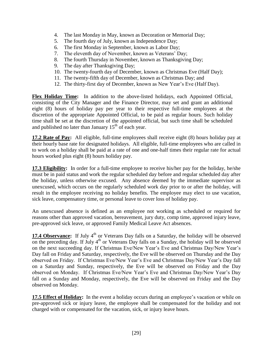- 4. The last Monday in May, known as Decoration or Memorial Day;
- 5. The fourth day of July, known as Independence Day;
- 6. The first Monday in September, known as Labor Day;
- 7. The eleventh day of November, known as Veterans' Day;
- 8. The fourth Thursday in November, known as Thanksgiving Day;
- 9. The day after Thanksgiving Day;
- 10. The twenty-fourth day of December, known as Christmas Eve (Half Day);
- 11. The twenty-fifth day of December, known as Christmas Day; and
- 12. The thirty-first day of December, known as New Year's Eve (Half Day).

**Flex Holiday Time:** In addition to the above-listed holidays, each Appointed Official, consisting of the City Manager and the Finance Director, may set and grant an additional eight (8) hours of holiday pay per year to their respective full-time employees at the discretion of the appropriate Appointed Official, to be paid as regular hours. Such holiday time shall be set at the discretion of the appointed official, but such time shall be scheduled and published no later than January  $15<sup>th</sup>$  of each year.

<span id="page-28-0"></span>**17.2 Rate of Pay:** All eligible, full-time employees shall receive eight (8) hours holiday pay at their hourly base rate for designated holidays. All eligible, full-time employees who are called in to work on a holiday shall be paid at a rate of one and one-half times their regular rate for actual hours worked plus eight (8) hours holiday pay.

<span id="page-28-1"></span>**17.3 Eligibility:** In order for a full-time employee to receive his/her pay for the holiday, he/she must be in paid status and work the regular scheduled day before and regular scheduled day after the holiday, unless otherwise excused. Any absence deemed by the immediate supervisor as unexcused, which occurs on the regularly scheduled work day prior to or after the holiday, will result in the employee receiving no holiday benefits. The employee may elect to use vacation, sick leave, compensatory time, or personal leave to cover loss of holiday pay.

An unexcused absence is defined as an employee not working as scheduled or required for reasons other than approved vacation, bereavement, jury duty, comp time, approved injury leave, pre-approved sick leave, or approved Family Medical Leave Act absences.

17.4 Observance: If July 4<sup>th</sup> or Veterans Day falls on a Saturday, the holiday will be observed on the preceding day. If July  $4<sup>th</sup>$  or Veterans Day falls on a Sunday, the holiday will be observed on the next succeeding day. If Christmas Eve/New Year's Eve and Christmas Day/New Year's Day fall on Friday and Saturday, respectively, the Eve will be observed on Thursday and the Day observed on Friday. If Christmas Eve/New Year's Eve and Christmas Day/New Year's Day fall on a Saturday and Sunday, respectively, the Eve will be observed on Friday and the Day observed on Monday. If Christmas Eve/New Year's Eve and Christmas Day/New Year's Day fall on a Sunday and Monday, respectively, the Eve will be observed on Friday and the Day observed on Monday.

<span id="page-28-2"></span>**17.5 Effect of Holiday:** In the event a holiday occurs during an employee's vacation or while on pre-approved sick or injury leave, the employee shall be compensated for the holiday and not charged with or compensated for the vacation, sick, or injury leave hours.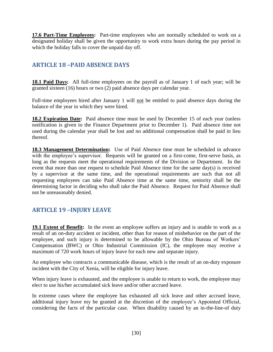<span id="page-29-0"></span>17.6 Part-Time Employees: Part-time employees who are normally scheduled to work on a designated holiday shall be given the opportunity to work extra hours during the pay period in which the holiday falls to cover the unpaid day off.

## <span id="page-29-1"></span>**ARTICLE 18 –PAID ABSENCE DAYS**

<span id="page-29-2"></span>**18.1 Paid Days:** All full-time employees on the payroll as of January 1 of each year; will be granted sixteen (16) hours or two (2) paid absence days per calendar year.

Full-time employees hired after January 1 will not be entitled to paid absence days during the balance of the year in which they were hired.

<span id="page-29-3"></span>**18.2 Expiration Date:** Paid absence time must be used by December 15 of each year (unless notification is given to the Finance Department prior to December 1). Paid absence time not used during the calendar year shall be lost and no additional compensation shall be paid in lieu thereof.

<span id="page-29-4"></span>**18.3 Management Determination:** Use of Paid Absence time must be scheduled in advance with the employee's supervisor. Requests will be granted on a first-come, first-serve basis, as long as the requests meet the operational requirements of the Division or Department. In the event that more than one request to schedule Paid Absence time for the same day(s) is received by a supervisor at the same time, and the operational requirements are such that not all requesting employees can take Paid Absence time at the same time, seniority shall be the determining factor in deciding who shall take the Paid Absence. Request for Paid Absence shall not be unreasonably denied.

# <span id="page-29-5"></span>**ARTICLE 19 –INJURY LEAVE**

<span id="page-29-6"></span>**19.1 Extent of Benefit:** In the event an employee suffers an injury and is unable to work as a result of an on-duty accident or incident, other than for reason of misbehavior on the part of the employee, and such injury is determined to be allowable by the Ohio Bureau of Workers' Compensation (BWC) or Ohio Industrial Commission (IC), the employee may receive a maximum of 720 work hours of injury leave for each new and separate injury.

An employee who contracts a communicable disease, which is the result of an on-duty exposure incident with the City of Xenia, will be eligible for injury leave.

When injury leave is exhausted, and the employee is unable to return to work, the employee may elect to use his/her accumulated sick leave and/or other accrued leave.

In extreme cases where the employee has exhausted all sick leave and other accrued leave, additional injury leave my be granted at the discretion of the employee's Appointed Official, considering the facts of the particular case. When disability caused by an in-the-line-of duty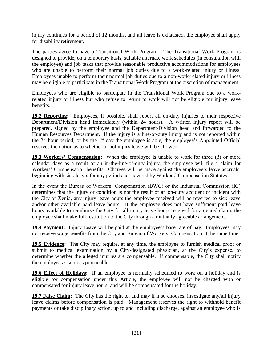injury continues for a period of 12 months, and all leave is exhausted, the employee shall apply for disability retirement.

The parties agree to have a Transitional Work Program. The Transitional Work Program is designed to provide, on a temporary basis, suitable alternate work schedules (in consultation with the employee) and job tasks that provide reasonable productive accommodations for employees who are unable to perform their normal job duties due to a work-related injury or illness. Employees unable to perform their normal job duties due to a non-work-related injury or illness may be eligible to participate in the Transitional Work Program at the discretion of management.

Employees who are eligible to participate in the Transitional Work Program due to a workrelated injury or illness but who refuse to return to work will not be eligible for injury leave benefits.

<span id="page-30-0"></span>**19.2 Reporting:** Employees, if possible, shall report all on-duty injuries to their respective Department/Division head immediately (within 24 hours). A written injury report will be prepared, signed by the employee and the Department/Division head and forwarded to the Human Resources Department. If the injury is a line-of-duty injury and is not reported within the 24 hour period, or by the  $1<sup>st</sup>$  day the employee is able, the employee's Appointed Official reserves the option as to whether or not injury leave will be allowed.

<span id="page-30-1"></span>**19.3 Workers' Compensation:** When the employee is unable to work for three (3) or more calendar days as a result of an in-the-line-of-duty injury, the employee will file a claim for Workers' Compensation benefits. Charges will be made against the employee's leave accruals, beginning with sick leave, for any periods not covered by Workers' Compensation Statutes.

In the event the Bureau of Workers' Compensation (BWC) or the Industrial Commission (IC) determines that the injury or condition is not the result of an on-duty accident or incident with the City of Xenia, any injury leave hours the employee received will be reverted to sick leave and/or other available paid leave hours. If the employee does not have sufficient paid leave hours available to reimburse the City for all injury leave hours received for a denied claim, the employee shall make full restitution to the City through a mutually agreeable arrangement.

<span id="page-30-2"></span>**19.4 Payment:** Injury Leave will be paid at the employee's base rate of pay. Employees may not receive wage benefits from the City and Bureau of Workers' Compensation at the same time.

<span id="page-30-3"></span>**19.5 Evidence:** The City may require, at any time, the employee to furnish medical proof or submit to medical examination by a City-designated physician, at the City's expense, to determine whether the alleged injuries are compensable. If compensable, the City shall notify the employee as soon as practicable.

<span id="page-30-4"></span>**19.6 Effect of Holidays:** If an employee is normally scheduled to work on a holiday and is eligible for compensation under this Article, the employee will not be charged with or compensated for injury leave hours, and will be compensated for the holiday.

**19.7 False Claim:** The City has the right to, and may if it so chooses, investigate any/all injury leave claims before compensation is paid. Management reserves the right to withhold benefit payments or take disciplinary action, up to and including discharge, against an employee who is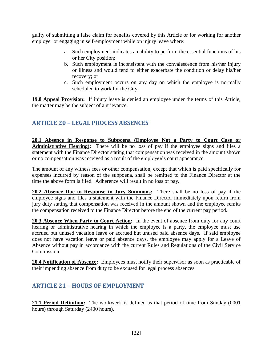guilty of submitting a false claim for benefits covered by this Article or for working for another employer or engaging in self-employment while on injury leave where:

- a. Such employment indicates an ability to perform the essential functions of his or her City position;
- b. Such employment is inconsistent with the convalescence from his/her injury or illness and would tend to either exacerbate the condition or delay his/her recovery; or
- c. Such employment occurs on any day on which the employee is normally scheduled to work for the City.

<span id="page-31-0"></span>**19.8 Appeal Provision:** If injury leave is denied an employee under the terms of this Article, the matter may be the subject of a grievance.

# <span id="page-31-1"></span>**ARTICLE 20 – LEGAL PROCESS ABSENCES**

<span id="page-31-2"></span>**20.1 Absence in Response to Subpoena (Employee Not a Party to Court Case or**  Administrative Hearing): There will be no loss of pay if the employee signs and files a statement with the Finance Director stating that compensation was received in the amount shown or no compensation was received as a result of the employee's court appearance.

The amount of any witness fees or other compensation, except that which is paid specifically for expenses incurred by reason of the subpoena, shall be remitted to the Finance Director at the time the above form is filed. Adherence will result in no loss of pay.

<span id="page-31-3"></span>**20.2 Absence Due to Response to Jury Summons:** There shall be no loss of pay if the employee signs and files a statement with the Finance Director immediately upon return from jury duty stating that compensation was received in the amount shown and the employee remits the compensation received to the Finance Director before the end of the current pay period.

<span id="page-31-4"></span>**20.3 Absence When Party to Court Action:** In the event of absence from duty for any court hearing or administrative hearing in which the employee is a party, the employee must use accrued but unused vacation leave or accrued but unused paid absence days. If said employee does not have vacation leave or paid absence days, the employee may apply for a Leave of Absence without pay in accordance with the current Rules and Regulations of the Civil Service Commission.

<span id="page-31-5"></span>**20.4 Notification of Absence:** Employees must notify their supervisor as soon as practicable of their impending absence from duty to be excused for legal process absences.

# <span id="page-31-6"></span>**ARTICLE 21 – HOURS OF EMPLOYMENT**

<span id="page-31-7"></span>21.1 Period Definition: The workweek is defined as that period of time from Sunday (0001) hours) through Saturday (2400 hours).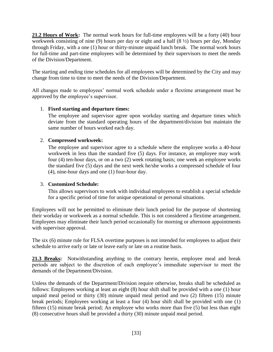<span id="page-32-0"></span>21.2 Hours of Work: The normal work hours for full-time employees will be a forty (40) hour workweek consisting of nine (9) hours per day or eight and a half (8  $\frac{1}{2}$ ) hours per day, Monday through Friday, with a one (1) hour or thirty-minute unpaid lunch break. The normal work hours for full-time and part-time employees will be determined by their supervisors to meet the needs of the Division/Department.

The starting and ending time schedules for all employees will be determined by the City and may change from time to time to meet the needs of the Division/Department.

All changes made to employees' normal work schedule under a flextime arrangement must be approved by the employee's supervisor.

#### 1. **Fixed starting and departure times:**

The employee and supervisor agree upon workday starting and departure times which deviate from the standard operating hours of the department/division but maintain the same number of hours worked each day.

#### 2. **Compressed workweek:**

The employee and supervisor agree to a schedule where the employee works a 40-hour workweek in less than the standard five (5) days. For instance, an employee may work four (4) ten-hour days, or on a two (2) week rotating basis; one week an employee works the standard five (5) days and the next week he/she works a compressed schedule of four (4), nine-hour days and one (1) four-hour day.

#### 3. **Customized Schedule:**

This allows supervisors to work with individual employees to establish a special schedule for a specific period of time for unique operational or personal situations.

Employees will not be permitted to eliminate their lunch period for the purpose of shortening their workday or workweek as a normal schedule. This is not considered a flextime arrangement. Employees may eliminate their lunch period occasionally for morning or afternoon appointments with supervisor approval.

The six (6) minute rule for FLSA overtime purposes is not intended for employees to adjust their schedule to arrive early or late or leave early or late on a routine basis.

<span id="page-32-1"></span>21.3 Breaks: Notwithstanding anything to the contrary herein, employee meal and break periods are subject to the discretion of each employee's immediate supervisor to meet the demands of the Department/Division.

Unless the demands of the Department/Division require otherwise, breaks shall be scheduled as follows: Employees working at least an eight (8) hour shift shall be provided with a one (1) hour unpaid meal period or thirty (30) minute unpaid meal period and two (2) fifteen (15) minute break periods; Employees working at least a four (4) hour shift shall be provided with one (1) fifteen (15) minute break period; An employee who works more than five (5) but less than eight (8) consecutive hours shall be provided a thirty (30) minute unpaid meal period.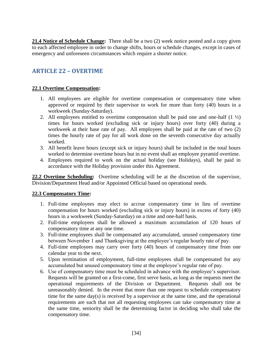<span id="page-33-0"></span>**21.4 Notice of Schedule Change:** There shall be a two (2) week notice posted and a copy given to each affected employee in order to change shifts, hours or schedule changes, except in cases of emergency and unforeseen circumstances which require a shorter notice.

# <span id="page-33-1"></span>**ARTICLE 22 – OVERTIME**

#### <span id="page-33-2"></span>**22.1 Overtime Compensation:**

- 1. All employees are eligible for overtime compensation or compensatory time when approved or required by their supervisor to work for more than forty (40) hours in a workweek (Sunday-Saturday).
- 2. All employees entitled to overtime compensation shall be paid one and one-half  $(1 \frac{1}{2})$ times for hours worked (excluding sick or injury hours) over forty (40) during a workweek at their base rate of pay. All employees shall be paid at the rate of two (2) times the hourly rate of pay for all work done on the seventh consecutive day actually worked.
- 3. All benefit leave hours (except sick or injury hours) shall be included in the total hours worked to determine overtime hours but in no event shall an employee pyramid overtime.
- 4. Employees required to work on the actual holiday (see Holidays), shall be paid in accordance with the Holiday provision under this Agreement.

<span id="page-33-3"></span>**22.2 Overtime Scheduling:** Overtime scheduling will be at the discretion of the supervisor, Division/Department Head and/or Appointed Official based on operational needs.

#### <span id="page-33-4"></span>**22.3 Compensatory Time:**

- 1. Full-time employees may elect to accrue compensatory time in lieu of overtime compensation for hours worked (excluding sick or injury hours) in excess of forty (40) hours in a workweek (Sunday-Saturday) on a time and one-half basis.
- 2. Full-time employees shall be allowed a maximum accumulation of 120 hours of compensatory time at any one time.
- 3. Full-time employees shall be compensated any accumulated, unused compensatory time between November 1 and Thanksgiving at the employee's regular hourly rate of pay.
- 4. Full-time employees may carry over forty (40) hours of compensatory time from one calendar year to the next.
- 5. Upon termination of employment, full-time employees shall be compensated for any accumulated but unused compensatory time at the employee's regular rate of pay.
- 6. Use of compensatory time must be scheduled in advance with the employee's supervisor. Requests will be granted on a first-come, first serve basis, as long as the requests meet the operational requirements of the Division or Department. Requests shall not be unreasonably denied. In the event that more than one request to schedule compensatory time for the same day(s) is received by a supervisor at the same time, and the operational requirements are such that not all requesting employees can take compensatory time at the same time, seniority shall be the determining factor in deciding who shall take the compensatory time.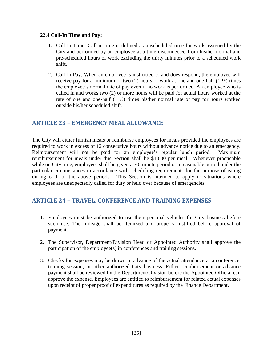#### **22.4 Call-In Time and Pay:**

- 1. Call-In Time: Call-in time is defined as unscheduled time for work assigned by the City and performed by an employee at a time disconnected from his/her normal and pre-scheduled hours of work excluding the thirty minutes prior to a scheduled work shift.
- 2. Call-In Pay: When an employee is instructed to and does respond, the employee will receive pay for a minimum of two  $(2)$  hours of work at one and one-half  $(1 \frac{1}{2})$  times the employee's normal rate of pay even if no work is performed. An employee who is called in and works two (2) or more hours will be paid for actual hours worked at the rate of one and one-half (1 ½) times his/her normal rate of pay for hours worked outside his/her scheduled shift.

# <span id="page-34-0"></span>**ARTICLE 23 – EMERGENCY MEAL ALLOWANCE**

The City will either furnish meals or reimburse employees for meals provided the employees are required to work in excess of 12 consecutive hours without advance notice due to an emergency. Reimbursement will not be paid for an employee's regular lunch period. Maximum reimbursement for meals under this Section shall be \$10.00 per meal. Whenever practicable while on City time, employees shall be given a 30 minute period or a reasonable period under the particular circumstances in accordance with scheduling requirements for the purpose of eating during each of the above periods. This Section is intended to apply to situations where employees are unexpectedly called for duty or held over because of emergencies.

## <span id="page-34-1"></span>**ARTICLE 24 – TRAVEL, CONFERENCE AND TRAINING EXPENSES**

- 1. Employees must be authorized to use their personal vehicles for City business before such use. The mileage shall be itemized and properly justified before approval of payment.
- 2. The Supervisor, Department/Division Head or Appointed Authority shall approve the participation of the employee(s) in conferences and training sessions.
- 3. Checks for expenses may be drawn in advance of the actual attendance at a conference, training session, or other authorized City business. Either reimbursement or advance payment shall be reviewed by the Department/Division before the Appointed Official can approve the expense. Employees are entitled to reimbursement for related actual expenses upon receipt of proper proof of expenditures as required by the Finance Department.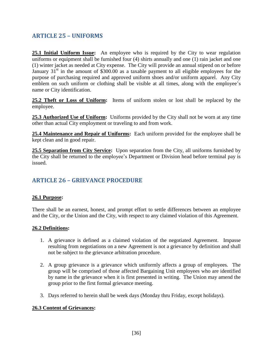## <span id="page-35-0"></span>**ARTICLE 25 – UNIFORMS**

<span id="page-35-1"></span>**25.1 Initial Uniform Issue:** An employee who is required by the City to wear regulation uniforms or equipment shall be furnished four (4) shirts annually and one (1) rain jacket and one (1) winter jacket as needed at City expense. The City will provide an annual stipend on or before January  $31<sup>st</sup>$  in the amount of \$300.00 as a taxable payment to all eligible employees for the purpose of purchasing required and approved uniform shoes and/or uniform apparel. Any City emblem on such uniform or clothing shall be visible at all times, along with the employee's name or City identification.

<span id="page-35-2"></span>**25.2 Theft or Loss of Uniform:** Items of uniform stolen or lost shall be replaced by the employee.

**25.3 Authorized Use of Uniform:** Uniforms provided by the City shall not be worn at any time other than actual City employment or traveling to and from work.

<span id="page-35-3"></span>**25.4 Maintenance and Repair of Uniforms:** Each uniform provided for the employee shall be kept clean and in good repair.

<span id="page-35-4"></span>**25.5 Separation from City Service:** Upon separation from the City, all uniforms furnished by the City shall be returned to the employee's Department or Division head before terminal pay is issued.

# <span id="page-35-5"></span>**ARTICLE 26 – GRIEVANCE PROCEDURE**

#### <span id="page-35-6"></span>**26.1 Purpose:**

There shall be an earnest, honest, and prompt effort to settle differences between an employee and the City, or the Union and the City, with respect to any claimed violation of this Agreement.

#### <span id="page-35-7"></span>**26.2 Definitions:**

- 1. A grievance is defined as a claimed violation of the negotiated Agreement. Impasse resulting from negotiations on a new Agreement is not a grievance by definition and shall not be subject to the grievance arbitration procedure.
- 2. A group grievance is a grievance which uniformly affects a group of employees. The group will be comprised of those affected Bargaining Unit employees who are identified by name in the grievance when it is first presented in writing. The Union may amend the group prior to the first formal grievance meeting.
- 3. Days referred to herein shall be week days (Monday thru Friday, except holidays).

#### <span id="page-35-8"></span>**26.3 Content of Grievances:**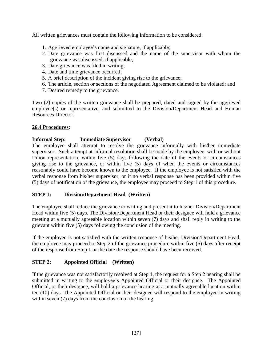All written grievances must contain the following information to be considered:

- 1. Aggrieved employee's name and signature, if applicable;
- 2. Date grievance was first discussed and the name of the supervisor with whom the grievance was discussed, if applicable;
- 3. Date grievance was filed in writing;
- 4. Date and time grievance occurred;
- 5. A brief description of the incident giving rise to the grievance;
- 6. The article, section or sections of the negotiated Agreement claimed to be violated; and
- 7. Desired remedy to the grievance.

Two (2) copies of the written grievance shall be prepared, dated and signed by the aggrieved employee(s) or representative, and submitted to the Division/Department Head and Human Resources Director.

#### <span id="page-36-0"></span>**26.4 Procedures:**

#### **Informal Step: Immediate Supervisor (Verbal)**

The employee shall attempt to resolve the grievance informally with his/her immediate supervisor. Such attempt at informal resolution shall be made by the employee, with or without Union representation, within five (5) days following the date of the events or circumstances giving rise to the grievance, or within five (5) days of when the events or circumstances reasonably could have become known to the employee. If the employee is not satisfied with the verbal response from his/her supervisor, or if no verbal response has been provided within five (5) days of notification of the grievance, the employee may proceed to Step 1 of this procedure.

#### **STEP 1: Division/Department Head (Written)**

The employee shall reduce the grievance to writing and present it to his/her Division/Department Head within five (5) days. The Division/Department Head or their designee will hold a grievance meeting at a mutually agreeable location within seven (7) days and shall reply in writing to the grievant within five (5) days following the conclusion of the meeting.

If the employee is not satisfied with the written response of his/her Division/Department Head, the employee may proceed to Step 2 of the grievance procedure within five (5) days after receipt of the response from Step 1 or the date the response should have been received.

#### **STEP 2: Appointed Official (Written)**

If the grievance was not satisfactorily resolved at Step 1, the request for a Step 2 hearing shall be submitted in writing to the employee's Appointed Official or their designee. The Appointed Official, or their designee, will hold a grievance hearing at a mutually agreeable location within ten (10) days. The Appointed Official or their designee will respond to the employee in writing within seven (7) days from the conclusion of the hearing.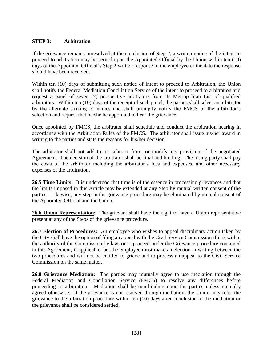#### **STEP 3: Arbitration**

If the grievance remains unresolved at the conclusion of Step 2, a written notice of the intent to proceed to arbitration may be served upon the Appointed Official by the Union within ten (10) days of the Appointed Official's Step 2 written response to the employee or the date the response should have been received.

Within ten (10) days of submitting such notice of intent to proceed to Arbitration, the Union shall notify the Federal Mediation Conciliation Service of the intent to proceed to arbitration and request a panel of seven (7) prospective arbitrators from its Metropolitan List of qualified arbitrators. Within ten (10) days of the receipt of such panel, the parties shall select an arbitrator by the alternate striking of names and shall promptly notify the FMCS of the arbitrator's selection and request that he\she be appointed to hear the grievance.

Once appointed by FMCS, the arbitrator shall schedule and conduct the arbitration hearing in accordance with the Arbitration Rules of the FMCS. The arbitrator shall issue his/her award in writing to the parties and state the reasons for his/her decision.

The arbitrator shall not add to, or subtract from, or modify any provision of the negotiated Agreement. The decision of the arbitrator shall be final and binding. The losing party shall pay the costs of the arbitrator including the arbitrator's fees and expenses, and other necessary expenses of the arbitration.

<span id="page-37-0"></span>**26.5 Time Limits:** It is understood that time is of the essence in processing grievances and that the limits imposed in this Article may be extended at any Step by mutual written consent of the parties. Likewise, any step in the grievance procedure may be eliminated by mutual consent of the Appointed Official and the Union.

<span id="page-37-1"></span>**26.6 Union Representation:** The grievant shall have the right to have a Union representative present at any of the Steps of the grievance procedure.

<span id="page-37-2"></span>**26.7 Election of Procedures:** An employee who wishes to appeal disciplinary action taken by the City shall have the option of filing an appeal with the Civil Service Commission if it is within the authority of the Commission by law, or to proceed under the Grievance procedure contained in this Agreement, if applicable, but the employee must make an election in writing between the two procedures and will not be entitled to grieve and to process an appeal to the Civil Service Commission on the same matter.

<span id="page-37-3"></span>**26.8 Grievance Mediation:** The parties may mutually agree to use mediation through the Federal Mediation and Conciliation Service (FMCS) to resolve any differences before proceeding to arbitration. Mediation shall be non-binding upon the parties unless mutually agreed otherwise. If the grievance is not resolved through mediation, the Union may refer the grievance to the arbitration procedure within ten (10) days after conclusion of the mediation or the grievance shall be considered settled.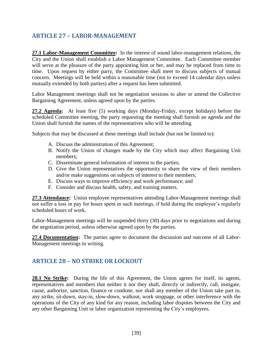# <span id="page-38-0"></span>**ARTICLE 27 – LABOR-MANAGEMENT**

<span id="page-38-1"></span>**27.1 Labor-Management Committee:** In the interest of sound labor-management relations, the City and the Union shall establish a Labor Management Committee. Each Committee member will serve at the pleasure of the party appointing him or her, and may be replaced from time to time. Upon request by either party, the Committee shall meet to discuss subjects of mutual concern. Meetings will be held within a reasonable time (not to exceed 14 calendar days unless mutually extended by both parties) after a request has been submitted.

Labor Management meetings shall not be negotiation sessions to alter or amend the Collective Bargaining Agreement, unless agreed upon by the parties.

<span id="page-38-2"></span>**27.2 Agenda:** At least five (5) working days (Monday-Friday, except holidays) before the scheduled Committee meeting, the party requesting the meeting shall furnish an agenda and the Union shall furnish the names of the representatives who will be attending.

Subjects that may be discussed at these meetings shall include (but not be limited to):

- A. Discuss the administration of this Agreement;
- B. Notify the Union of changes made by the City which may affect Bargaining Unit members;
- C. Disseminate general information of interest to the parties;
- D. Give the Union representatives the opportunity to share the view of their members and/or make suggestions on subjects of interest to their members;
- E. Discuss ways to improve efficiency and work performance; and
- F. Consider and discuss health, safety, and training matters.

<span id="page-38-3"></span>**27.3 Attendance:** Union employee representatives attending Labor-Management meetings shall not suffer a loss in pay for hours spent in such meetings, if held during the employee's regularly scheduled hours of work.

Labor-Management meetings will be suspended thirty (30) days prior to negotiations and during the negotiation period, unless otherwise agreed upon by the parties.

<span id="page-38-4"></span>**27.4 Documentation:** The parties agree to document the discussion and outcome of all Labor-Management meetings in writing.

## <span id="page-38-5"></span>**ARTICLE 28 – NO STRIKE OR LOCKOUT**

<span id="page-38-6"></span>28.1 No Strike: During the life of this Agreement, the Union agrees for itself, its agents, representatives and members that neither it nor they shall, directly or indirectly, call, instigate, cause, authorize, sanction, finance or condone, nor shall any member of the Union take part in, any strike, sit-down, stay-in, slow-down, walkout, work stoppage, or other interference with the operations of the City of any kind for any reason, including labor disputes between the City and any other Bargaining Unit or labor organization representing the City's employees.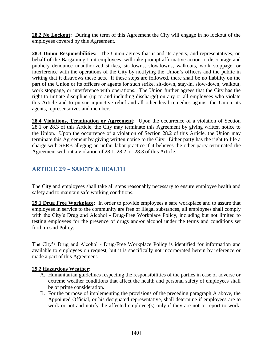<span id="page-39-0"></span>28.2 No Lockout: During the term of this Agreement the City will engage in no lockout of the employees covered by this Agreement.

<span id="page-39-1"></span>28.3 Union Responsibilities: The Union agrees that it and its agents, and representatives, on behalf of the Bargaining Unit employees, will take prompt affirmative action to discourage and publicly denounce unauthorized strikes, sit-downs, slowdowns, walkouts, work stoppage, or interference with the operations of the City by notifying the Union's officers and the public in writing that it disavows these acts. If these steps are followed, there shall be no liability on the part of the Union or its officers or agents for such strike, sit-down, stay-in, slow-down, walkout, work stoppage, or interference with operations. The Union further agrees that the City has the right to initiate discipline (up to and including discharge) on any or all employees who violate this Article and to pursue injunctive relief and all other legal remedies against the Union, its agents, representatives and members.

<span id="page-39-2"></span>**28.4 Violations, Termination or Agreement**: Upon the occurrence of a violation of Section 28.1 or 28.3 of this Article, the City may terminate this Agreement by giving written notice to the Union. Upon the occurrence of a violation of Section 28.2 of this Article, the Union may terminate this Agreement by giving written notice to the City. Either party has the right to file a charge with SERB alleging an unfair labor practice if it believes the other party terminated the Agreement without a violation of 28.1, 28.2, or 28.3 of this Article.

# <span id="page-39-3"></span>**ARTICLE 29 – SAFETY & HEALTH**

The City and employees shall take all steps reasonably necessary to ensure employee health and safety and to maintain safe working conditions.

<span id="page-39-4"></span>**29.1 Drug Free Workplace:** In order to provide employees a safe workplace and to assure that employees in service to the community are free of illegal substances, all employees shall comply with the City's Drug and Alcohol - Drug-Free Workplace Policy, including but not limited to testing employees for the presence of drugs and\or alcohol under the terms and conditions set forth in said Policy.

The City's Drug and Alcohol - Drug-Free Workplace Policy is identified for information and available to employees on request, but it is specifically not incorporated herein by reference or made a part of this Agreement.

#### **29.2 Hazardous Weather:**

- A. Humanitarian guidelines respecting the responsibilities of the parties in case of adverse or extreme weather conditions that affect the health and personal safety of employees shall be of prime consideration.
- B. For the purpose of implementing the provisions of the preceding paragraph A above, the Appointed Official, or his designated representative, shall determine if employees are to work or not and notify the affected employee(s) only if they are not to report to work.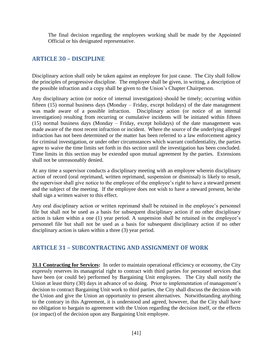The final decision regarding the employees working shall be made by the Appointed Official or his designated representative.

## <span id="page-40-0"></span>**ARTICLE 30 – DISCIPLINE**

Disciplinary action shall only be taken against an employee for just cause. The City shall follow the principles of progressive discipline. The employee shall be given, in writing, a description of the possible infraction and a copy shall be given to the Union's Chapter Chairperson.

Any disciplinary action (or notice of internal investigation) should be timely; occurring within fifteen (15) normal business days (Monday – Friday, except holidays) of the date management was made aware of a possible infraction. Disciplinary action (or notice of an internal investigation) resulting from recurring or cumulative incidents will be initiated within fifteen (15) normal business days (Monday – Friday, except holidays) of the date management was made aware of the most recent infraction or incident. Where the source of the underlying alleged infraction has not been determined or the matter has been referred to a law enforcement agency for criminal investigation, or under other circumstances which warrant confidentiality, the parties agree to waive the time limits set forth in this section until the investigation has been concluded. Time limits in this section may be extended upon mutual agreement by the parties. Extensions shall not be unreasonably denied.

At any time a supervisor conducts a disciplinary meeting with an employee wherein disciplinary action of record (oral reprimand, written reprimand, suspension or dismissal) is likely to result, the supervisor shall give notice to the employee of the employee's right to have a steward present and the subject of the meeting. If the employee does not wish to have a steward present, he/she shall sign a written waiver to this effect.

Any oral disciplinary action or written reprimand shall be retained in the employee's personnel file but shall not be used as a basis for subsequent disciplinary action if no other disciplinary action is taken within a one (1) year period. A suspension shall be retained in the employee's personnel file but shall not be used as a basis for subsequent disciplinary action if no other disciplinary action is taken within a three (3) year period.

## <span id="page-40-1"></span>**ARTICLE 31 – SUBCONTRACTING AND ASSIGNMENT OF WORK**

<span id="page-40-2"></span>**31.1 Contracting for Services:** In order to maintain operational efficiency or economy, the City expressly reserves its managerial right to contract with third parties for personnel services that have been (or could be) performed by Bargaining Unit employees. The City shall notify the Union at least thirty (30) days in advance of so doing. Prior to implementation of management's decision to contract Bargaining Unit work to third parties, the City shall discuss the decision with the Union and give the Union an opportunity to present alternatives. Notwithstanding anything to the contrary in this Agreement, it is understood and agreed, however, that the City shall have no obligation to bargain to agreement with the Union regarding the decision itself, or the effects (or impact) of the decision upon any Bargaining Unit employee.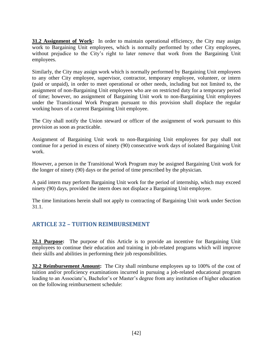<span id="page-41-0"></span>**31.2 Assignment of Work:** In order to maintain operational efficiency, the City may assign work to Bargaining Unit employees, which is normally performed by other City employees, without prejudice to the City's right to later remove that work from the Bargaining Unit employees.

Similarly, the City may assign work which is normally performed by Bargaining Unit employees to any other City employee, supervisor, contractor, temporary employee, volunteer, or intern (paid or unpaid), in order to meet operational or other needs, including but not limited to, the assignment of non-Bargaining Unit employees who are on restricted duty for a temporary period of time; however, no assignment of Bargaining Unit work to non-Bargaining Unit employees under the Transitional Work Program pursuant to this provision shall displace the regular working hours of a current Bargaining Unit employee.

The City shall notify the Union steward or officer of the assignment of work pursuant to this provision as soon as practicable.

Assignment of Bargaining Unit work to non-Bargaining Unit employees for pay shall not continue for a period in excess of ninety (90) consecutive work days of isolated Bargaining Unit work.

However, a person in the Transitional Work Program may be assigned Bargaining Unit work for the longer of ninety (90) days or the period of time prescribed by the physician.

A paid intern may perform Bargaining Unit work for the period of internship, which may exceed ninety (90) days, provided the intern does not displace a Bargaining Unit employee.

The time limitations herein shall not apply to contracting of Bargaining Unit work under Section 31.1.

# <span id="page-41-1"></span>**ARTICLE 32 – TUITION REIMBURSEMENT**

<span id="page-41-2"></span>**32.1 Purpose:** The purpose of this Article is to provide an incentive for Bargaining Unit employees to continue their education and training in job-related programs which will improve their skills and abilities in performing their job responsibilities.

<span id="page-41-3"></span>**32.2 Reimbursement Amount:** The City shall reimburse employees up to 100% of the cost of tuition and/or proficiency examinations incurred in pursuing a job-related educational program leading to an Associate's, Bachelor's or Master's degree from any institution of higher education on the following reimbursement schedule: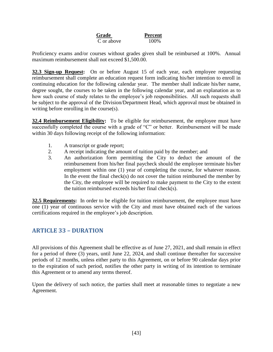**Grade Percent** C or above 100%

Proficiency exams and/or courses without grades given shall be reimbursed at 100%. Annual maximum reimbursement shall not exceed \$1,500.00.

<span id="page-42-0"></span>**32.3 Sign-up Request:** On or before August 15 of each year, each employee requesting reimbursement shall complete an education request form indicating his/her intention to enroll in continuing education for the following calendar year. The member shall indicate his/her name, degree sought, the courses to be taken in the following calendar year, and an explanation as to how such course of study relates to the employee's job responsibilities. All such requests shall be subject to the approval of the Division/Department Head, which approval must be obtained in writing before enrolling in the course(s).

<span id="page-42-1"></span>**32.4 Reimbursement Eligibility:** To be eligible for reimbursement, the employee must have successfully completed the course with a grade of "C" or better. Reimbursement will be made within 30 days following receipt of the following information:

- 1. A transcript or grade report;
- 2. A receipt indicating the amount of tuition paid by the member; and
- 3. An authorization form permitting the City to deduct the amount of the reimbursement from his/her final paycheck should the employee terminate his/her employment within one (1) year of completing the course, for whatever reason. In the event the final check(s) do not cover the tuition reimbursed the member by the City, the employee will be required to make payment to the City to the extent the tuition reimbursed exceeds his/her final check(s).

<span id="page-42-2"></span>**32.5 Requirements:** In order to be eligible for tuition reimbursement, the employee must have one (1) year of continuous service with the City and must have obtained each of the various certifications required in the employee's job description.

# <span id="page-42-3"></span>**ARTICLE 33 – DURATION**

All provisions of this Agreement shall be effective as of June 27, 2021, and shall remain in effect for a period of three (3) years, until June 22, 2024, and shall continue thereafter for successive periods of 12 months, unless either party to this Agreement, on or before 90 calendar days prior to the expiration of such period, notifies the other party in writing of its intention to terminate this Agreement or to amend any terms thereof.

Upon the delivery of such notice, the parties shall meet at reasonable times to negotiate a new Agreement.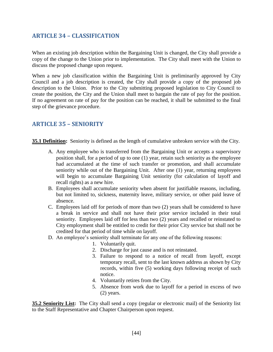## <span id="page-43-0"></span>**ARTICLE 34 – CLASSIFICATION**

When an existing job description within the Bargaining Unit is changed, the City shall provide a copy of the change to the Union prior to implementation. The City shall meet with the Union to discuss the proposed change upon request.

When a new job classification within the Bargaining Unit is preliminarily approved by City Council and a job description is created, the City shall provide a copy of the proposed job description to the Union. Prior to the City submitting proposed legislation to City Council to create the position, the City and the Union shall meet to bargain the rate of pay for the position. If no agreement on rate of pay for the position can be reached, it shall be submitted to the final step of the grievance procedure.

## <span id="page-43-1"></span>**ARTICLE 35 – SENIORITY**

<span id="page-43-2"></span>**35.1 Definition:** Seniority is defined as the length of cumulative unbroken service with the City.

- A. Any employee who is transferred from the Bargaining Unit or accepts a supervisory position shall, for a period of up to one (1) year, retain such seniority as the employee had accumulated at the time of such transfer or promotion, and shall accumulate seniority while out of the Bargaining Unit. After one (1) year, returning employees will begin to accumulate Bargaining Unit seniority (for calculation of layoff and recall rights) as a new hire.
- B. Employees shall accumulate seniority when absent for justifiable reasons, including, but not limited to, sickness, maternity leave, military service, or other paid leave of absence.
- C. Employees laid off for periods of more than two (2) years shall be considered to have a break in service and shall not have their prior service included in their total seniority. Employees laid off for less than two (2) years and recalled or reinstated to City employment shall be entitled to credit for their prior City service but shall not be credited for that period of time while on layoff.
- D. An employee's seniority shall terminate for any one of the following reasons:
	- 1. Voluntarily quit.
	- 2. Discharge for just cause and is not reinstated.
	- 3. Failure to respond to a notice of recall from layoff, except temporary recall, sent to the last known address as shown by City records, within five (5) working days following receipt of such notice.
	- 4. Voluntarily retires from the City.
	- 5. Absence from work due to layoff for a period in excess of two (2) years.

<span id="page-43-3"></span>**35.2 Seniority List:** The City shall send a copy (regular or electronic mail) of the Seniority list to the Staff Representative and Chapter Chairperson upon request.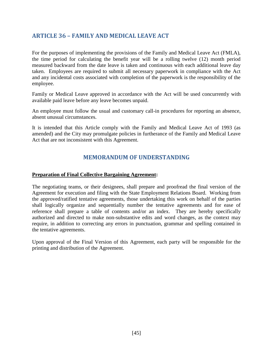## <span id="page-44-0"></span>**ARTICLE 36 – FAMILY AND MEDICAL LEAVE ACT**

For the purposes of implementing the provisions of the Family and Medical Leave Act (FMLA), the time period for calculating the benefit year will be a rolling twelve (12) month period measured backward from the date leave is taken and continuous with each additional leave day taken. Employees are required to submit all necessary paperwork in compliance with the Act and any incidental costs associated with completion of the paperwork is the responsibility of the employee.

Family or Medical Leave approved in accordance with the Act will be used concurrently with available paid leave before any leave becomes unpaid.

An employee must follow the usual and customary call-in procedures for reporting an absence, absent unusual circumstances.

<span id="page-44-1"></span>It is intended that this Article comply with the Family and Medical Leave Act of 1993 (as amended) and the City may promulgate policies in furtherance of the Family and Medical Leave Act that are not inconsistent with this Agreement.

## **MEMORANDUM OF UNDERSTANDING**

#### <span id="page-44-2"></span>**Preparation of Final Collective Bargaining Agreement:**

The negotiating teams, or their designees, shall prepare and proofread the final version of the Agreement for execution and filing with the State Employment Relations Board. Working from the approved/ratified tentative agreements, those undertaking this work on behalf of the parties shall logically organize and sequentially number the tentative agreements and for ease of reference shall prepare a table of contents and/or an index. They are hereby specifically authorized and directed to make non-substantive edits and word changes, as the context may require, in addition to correcting any errors in punctuation, grammar and spelling contained in the tentative agreements.

Upon approval of the Final Version of this Agreement, each party will be responsible for the printing and distribution of the Agreement.